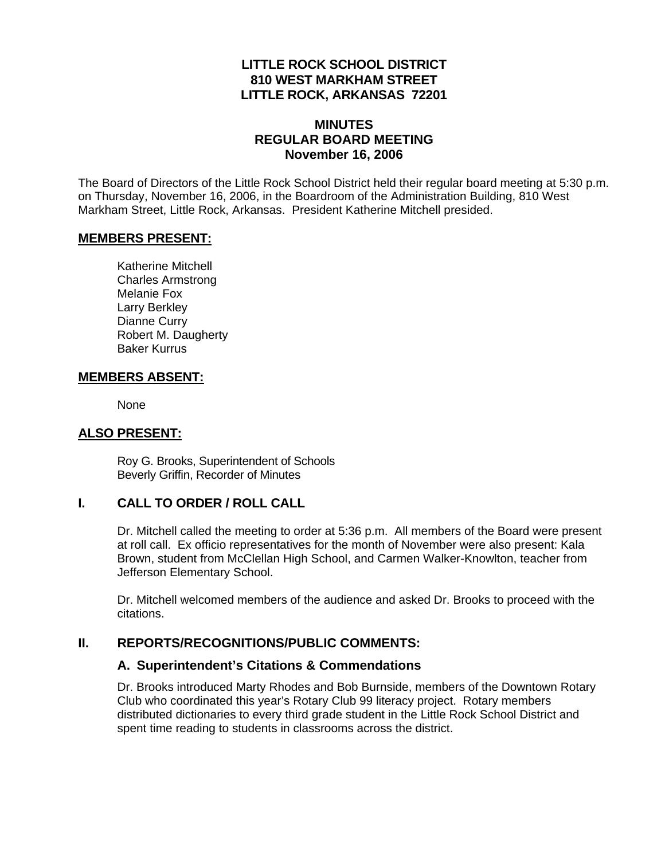## **LITTLE ROCK SCHOOL DISTRICT 810 WEST MARKHAM STREET LITTLE ROCK, ARKANSAS 72201**

## **MINUTES REGULAR BOARD MEETING November 16, 2006**

The Board of Directors of the Little Rock School District held their regular board meeting at 5:30 p.m. on Thursday, November 16, 2006, in the Boardroom of the Administration Building, 810 West Markham Street, Little Rock, Arkansas. President Katherine Mitchell presided.

#### **MEMBERS PRESENT:**

Katherine Mitchell Charles Armstrong Melanie Fox Larry Berkley Dianne Curry Robert M. Daugherty Baker Kurrus

### **MEMBERS ABSENT:**

None

### **ALSO PRESENT:**

 Roy G. Brooks, Superintendent of Schools Beverly Griffin, Recorder of Minutes

## **I. CALL TO ORDER / ROLL CALL**

Dr. Mitchell called the meeting to order at 5:36 p.m. All members of the Board were present at roll call. Ex officio representatives for the month of November were also present: Kala Brown, student from McClellan High School, and Carmen Walker-Knowlton, teacher from Jefferson Elementary School.

Dr. Mitchell welcomed members of the audience and asked Dr. Brooks to proceed with the citations.

### **II. REPORTS/RECOGNITIONS/PUBLIC COMMENTS:**

### **A. Superintendent's Citations & Commendations**

Dr. Brooks introduced Marty Rhodes and Bob Burnside, members of the Downtown Rotary Club who coordinated this year's Rotary Club 99 literacy project. Rotary members distributed dictionaries to every third grade student in the Little Rock School District and spent time reading to students in classrooms across the district.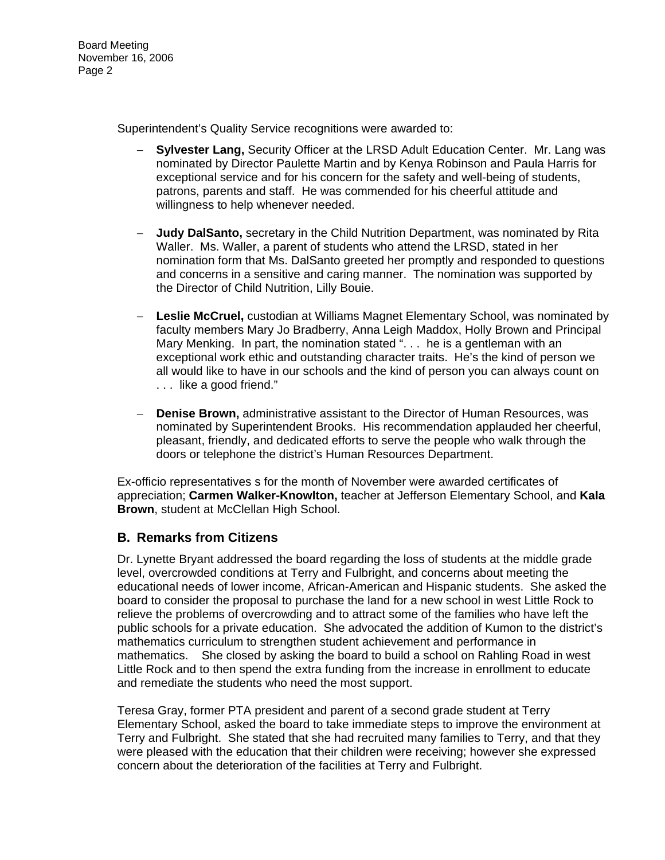Board Meeting November 16, 2006 Page 2

Superintendent's Quality Service recognitions were awarded to:

- − **Sylvester Lang,** Security Officer at the LRSD Adult Education Center. Mr. Lang was nominated by Director Paulette Martin and by Kenya Robinson and Paula Harris for exceptional service and for his concern for the safety and well-being of students, patrons, parents and staff. He was commended for his cheerful attitude and willingness to help whenever needed.
- Judy DalSanto, secretary in the Child Nutrition Department, was nominated by Rita Waller. Ms. Waller, a parent of students who attend the LRSD, stated in her nomination form that Ms. DalSanto greeted her promptly and responded to questions and concerns in a sensitive and caring manner. The nomination was supported by the Director of Child Nutrition, Lilly Bouie.
- − **Leslie McCruel,** custodian at Williams Magnet Elementary School, was nominated by faculty members Mary Jo Bradberry, Anna Leigh Maddox, Holly Brown and Principal Mary Menking. In part, the nomination stated ". . . he is a gentleman with an exceptional work ethic and outstanding character traits. He's the kind of person we all would like to have in our schools and the kind of person you can always count on . . . like a good friend."
- − **Denise Brown,** administrative assistant to the Director of Human Resources, was nominated by Superintendent Brooks. His recommendation applauded her cheerful, pleasant, friendly, and dedicated efforts to serve the people who walk through the doors or telephone the district's Human Resources Department.

Ex-officio representatives s for the month of November were awarded certificates of appreciation; **Carmen Walker-Knowlton,** teacher at Jefferson Elementary School, and **Kala Brown**, student at McClellan High School.

## **B. Remarks from Citizens**

Dr. Lynette Bryant addressed the board regarding the loss of students at the middle grade level, overcrowded conditions at Terry and Fulbright, and concerns about meeting the educational needs of lower income, African-American and Hispanic students. She asked the board to consider the proposal to purchase the land for a new school in west Little Rock to relieve the problems of overcrowding and to attract some of the families who have left the public schools for a private education. She advocated the addition of Kumon to the district's mathematics curriculum to strengthen student achievement and performance in mathematics. She closed by asking the board to build a school on Rahling Road in west Little Rock and to then spend the extra funding from the increase in enrollment to educate and remediate the students who need the most support.

Teresa Gray, former PTA president and parent of a second grade student at Terry Elementary School, asked the board to take immediate steps to improve the environment at Terry and Fulbright. She stated that she had recruited many families to Terry, and that they were pleased with the education that their children were receiving; however she expressed concern about the deterioration of the facilities at Terry and Fulbright.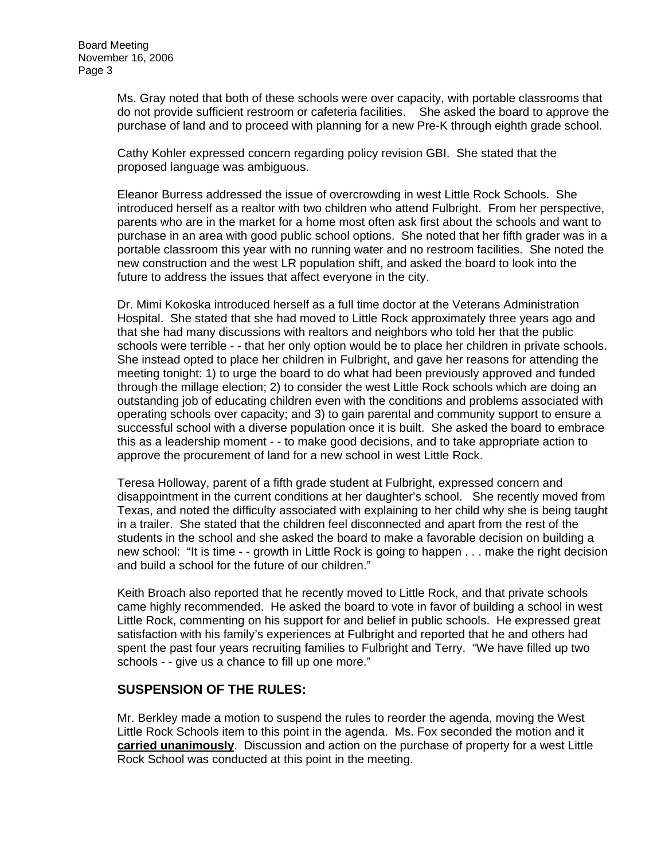Ms. Gray noted that both of these schools were over capacity, with portable classrooms that do not provide sufficient restroom or cafeteria facilities. She asked the board to approve the purchase of land and to proceed with planning for a new Pre-K through eighth grade school.

Cathy Kohler expressed concern regarding policy revision GBI. She stated that the proposed language was ambiguous.

Eleanor Burress addressed the issue of overcrowding in west Little Rock Schools. She introduced herself as a realtor with two children who attend Fulbright. From her perspective, parents who are in the market for a home most often ask first about the schools and want to purchase in an area with good public school options. She noted that her fifth grader was in a portable classroom this year with no running water and no restroom facilities. She noted the new construction and the west LR population shift, and asked the board to look into the future to address the issues that affect everyone in the city.

Dr. Mimi Kokoska introduced herself as a full time doctor at the Veterans Administration Hospital. She stated that she had moved to Little Rock approximately three years ago and that she had many discussions with realtors and neighbors who told her that the public schools were terrible - - that her only option would be to place her children in private schools. She instead opted to place her children in Fulbright, and gave her reasons for attending the meeting tonight: 1) to urge the board to do what had been previously approved and funded through the millage election; 2) to consider the west Little Rock schools which are doing an outstanding job of educating children even with the conditions and problems associated with operating schools over capacity; and 3) to gain parental and community support to ensure a successful school with a diverse population once it is built. She asked the board to embrace this as a leadership moment - - to make good decisions, and to take appropriate action to approve the procurement of land for a new school in west Little Rock.

Teresa Holloway, parent of a fifth grade student at Fulbright, expressed concern and disappointment in the current conditions at her daughter's school. She recently moved from Texas, and noted the difficulty associated with explaining to her child why she is being taught in a trailer. She stated that the children feel disconnected and apart from the rest of the students in the school and she asked the board to make a favorable decision on building a new school: "It is time - - growth in Little Rock is going to happen . . . make the right decision and build a school for the future of our children."

Keith Broach also reported that he recently moved to Little Rock, and that private schools came highly recommended. He asked the board to vote in favor of building a school in west Little Rock, commenting on his support for and belief in public schools. He expressed great satisfaction with his family's experiences at Fulbright and reported that he and others had spent the past four years recruiting families to Fulbright and Terry. "We have filled up two schools - - give us a chance to fill up one more."

## **SUSPENSION OF THE RULES:**

Mr. Berkley made a motion to suspend the rules to reorder the agenda, moving the West Little Rock Schools item to this point in the agenda. Ms. Fox seconded the motion and it **carried unanimously**. Discussion and action on the purchase of property for a west Little Rock School was conducted at this point in the meeting.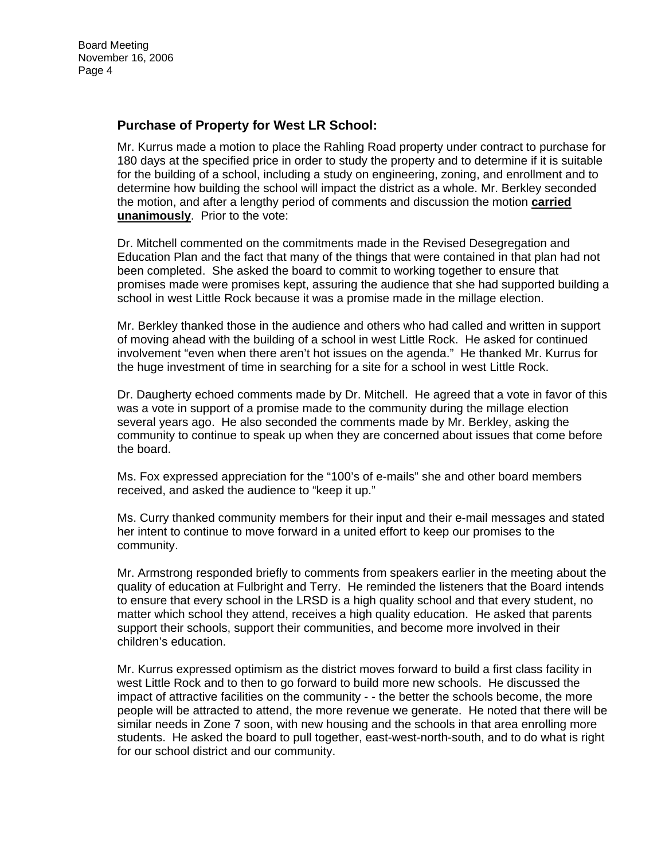## **Purchase of Property for West LR School:**

Mr. Kurrus made a motion to place the Rahling Road property under contract to purchase for 180 days at the specified price in order to study the property and to determine if it is suitable for the building of a school, including a study on engineering, zoning, and enrollment and to determine how building the school will impact the district as a whole. Mr. Berkley seconded the motion, and after a lengthy period of comments and discussion the motion **carried unanimously**. Prior to the vote:

Dr. Mitchell commented on the commitments made in the Revised Desegregation and Education Plan and the fact that many of the things that were contained in that plan had not been completed. She asked the board to commit to working together to ensure that promises made were promises kept, assuring the audience that she had supported building a school in west Little Rock because it was a promise made in the millage election.

Mr. Berkley thanked those in the audience and others who had called and written in support of moving ahead with the building of a school in west Little Rock. He asked for continued involvement "even when there aren't hot issues on the agenda." He thanked Mr. Kurrus for the huge investment of time in searching for a site for a school in west Little Rock.

Dr. Daugherty echoed comments made by Dr. Mitchell. He agreed that a vote in favor of this was a vote in support of a promise made to the community during the millage election several years ago. He also seconded the comments made by Mr. Berkley, asking the community to continue to speak up when they are concerned about issues that come before the board.

Ms. Fox expressed appreciation for the "100's of e-mails" she and other board members received, and asked the audience to "keep it up."

Ms. Curry thanked community members for their input and their e-mail messages and stated her intent to continue to move forward in a united effort to keep our promises to the community.

Mr. Armstrong responded briefly to comments from speakers earlier in the meeting about the quality of education at Fulbright and Terry. He reminded the listeners that the Board intends to ensure that every school in the LRSD is a high quality school and that every student, no matter which school they attend, receives a high quality education. He asked that parents support their schools, support their communities, and become more involved in their children's education.

Mr. Kurrus expressed optimism as the district moves forward to build a first class facility in west Little Rock and to then to go forward to build more new schools. He discussed the impact of attractive facilities on the community - - the better the schools become, the more people will be attracted to attend, the more revenue we generate. He noted that there will be similar needs in Zone 7 soon, with new housing and the schools in that area enrolling more students. He asked the board to pull together, east-west-north-south, and to do what is right for our school district and our community.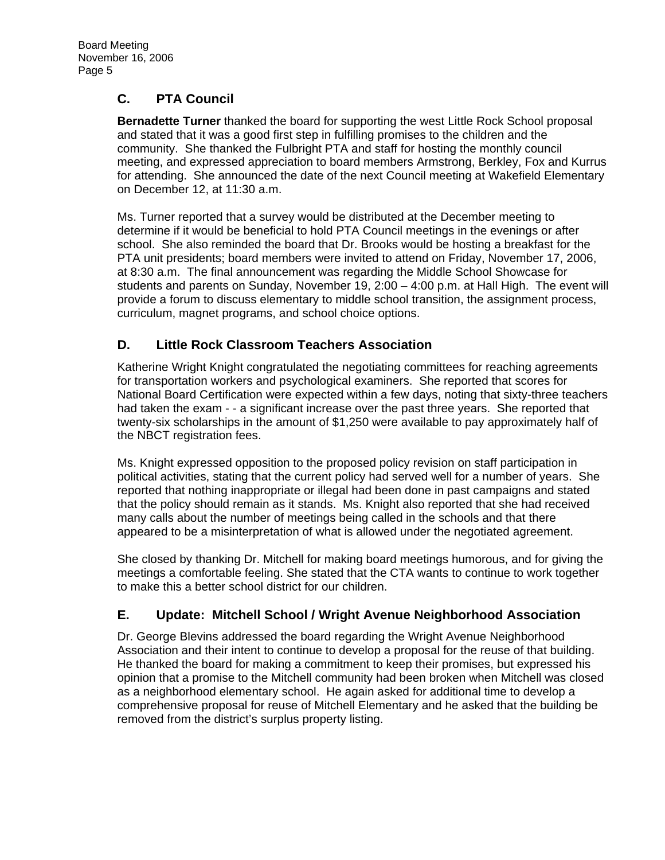# **C. PTA Council**

**Bernadette Turner** thanked the board for supporting the west Little Rock School proposal and stated that it was a good first step in fulfilling promises to the children and the community. She thanked the Fulbright PTA and staff for hosting the monthly council meeting, and expressed appreciation to board members Armstrong, Berkley, Fox and Kurrus for attending. She announced the date of the next Council meeting at Wakefield Elementary on December 12, at 11:30 a.m.

Ms. Turner reported that a survey would be distributed at the December meeting to determine if it would be beneficial to hold PTA Council meetings in the evenings or after school. She also reminded the board that Dr. Brooks would be hosting a breakfast for the PTA unit presidents; board members were invited to attend on Friday, November 17, 2006, at 8:30 a.m. The final announcement was regarding the Middle School Showcase for students and parents on Sunday, November 19, 2:00 – 4:00 p.m. at Hall High. The event will provide a forum to discuss elementary to middle school transition, the assignment process, curriculum, magnet programs, and school choice options.

# **D. Little Rock Classroom Teachers Association**

Katherine Wright Knight congratulated the negotiating committees for reaching agreements for transportation workers and psychological examiners. She reported that scores for National Board Certification were expected within a few days, noting that sixty-three teachers had taken the exam - - a significant increase over the past three years. She reported that twenty-six scholarships in the amount of \$1,250 were available to pay approximately half of the NBCT registration fees.

Ms. Knight expressed opposition to the proposed policy revision on staff participation in political activities, stating that the current policy had served well for a number of years. She reported that nothing inappropriate or illegal had been done in past campaigns and stated that the policy should remain as it stands. Ms. Knight also reported that she had received many calls about the number of meetings being called in the schools and that there appeared to be a misinterpretation of what is allowed under the negotiated agreement.

She closed by thanking Dr. Mitchell for making board meetings humorous, and for giving the meetings a comfortable feeling. She stated that the CTA wants to continue to work together to make this a better school district for our children.

# **E. Update: Mitchell School / Wright Avenue Neighborhood Association**

Dr. George Blevins addressed the board regarding the Wright Avenue Neighborhood Association and their intent to continue to develop a proposal for the reuse of that building. He thanked the board for making a commitment to keep their promises, but expressed his opinion that a promise to the Mitchell community had been broken when Mitchell was closed as a neighborhood elementary school. He again asked for additional time to develop a comprehensive proposal for reuse of Mitchell Elementary and he asked that the building be removed from the district's surplus property listing.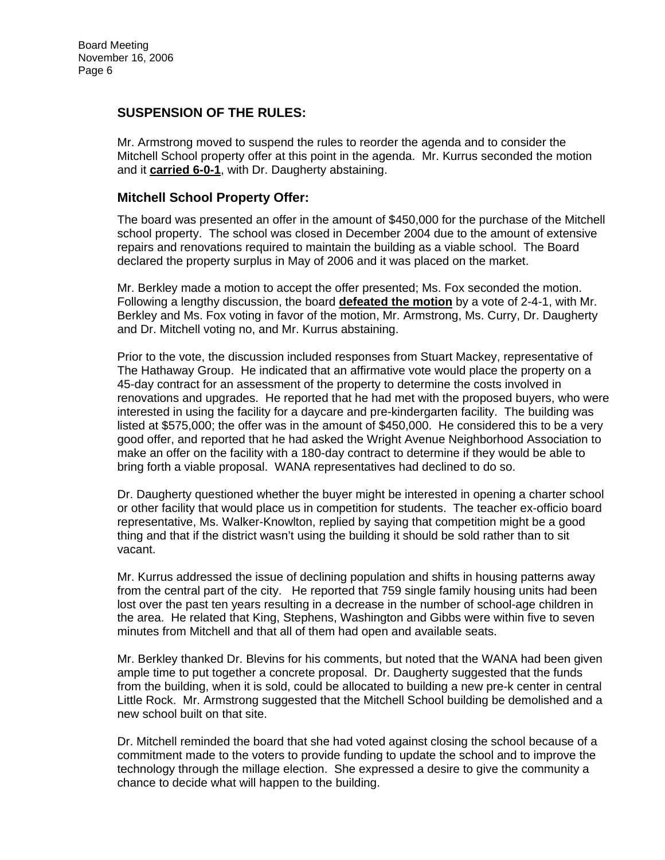## **SUSPENSION OF THE RULES:**

Mr. Armstrong moved to suspend the rules to reorder the agenda and to consider the Mitchell School property offer at this point in the agenda. Mr. Kurrus seconded the motion and it **carried 6-0-1**, with Dr. Daugherty abstaining.

### **Mitchell School Property Offer:**

The board was presented an offer in the amount of \$450,000 for the purchase of the Mitchell school property. The school was closed in December 2004 due to the amount of extensive repairs and renovations required to maintain the building as a viable school. The Board declared the property surplus in May of 2006 and it was placed on the market.

Mr. Berkley made a motion to accept the offer presented; Ms. Fox seconded the motion. Following a lengthy discussion, the board **defeated the motion** by a vote of 2-4-1, with Mr. Berkley and Ms. Fox voting in favor of the motion, Mr. Armstrong, Ms. Curry, Dr. Daugherty and Dr. Mitchell voting no, and Mr. Kurrus abstaining.

Prior to the vote, the discussion included responses from Stuart Mackey, representative of The Hathaway Group. He indicated that an affirmative vote would place the property on a 45-day contract for an assessment of the property to determine the costs involved in renovations and upgrades. He reported that he had met with the proposed buyers, who were interested in using the facility for a daycare and pre-kindergarten facility. The building was listed at \$575,000; the offer was in the amount of \$450,000. He considered this to be a very good offer, and reported that he had asked the Wright Avenue Neighborhood Association to make an offer on the facility with a 180-day contract to determine if they would be able to bring forth a viable proposal. WANA representatives had declined to do so.

Dr. Daugherty questioned whether the buyer might be interested in opening a charter school or other facility that would place us in competition for students. The teacher ex-officio board representative, Ms. Walker-Knowlton, replied by saying that competition might be a good thing and that if the district wasn't using the building it should be sold rather than to sit vacant.

Mr. Kurrus addressed the issue of declining population and shifts in housing patterns away from the central part of the city. He reported that 759 single family housing units had been lost over the past ten years resulting in a decrease in the number of school-age children in the area. He related that King, Stephens, Washington and Gibbs were within five to seven minutes from Mitchell and that all of them had open and available seats.

Mr. Berkley thanked Dr. Blevins for his comments, but noted that the WANA had been given ample time to put together a concrete proposal. Dr. Daugherty suggested that the funds from the building, when it is sold, could be allocated to building a new pre-k center in central Little Rock. Mr. Armstrong suggested that the Mitchell School building be demolished and a new school built on that site.

Dr. Mitchell reminded the board that she had voted against closing the school because of a commitment made to the voters to provide funding to update the school and to improve the technology through the millage election. She expressed a desire to give the community a chance to decide what will happen to the building.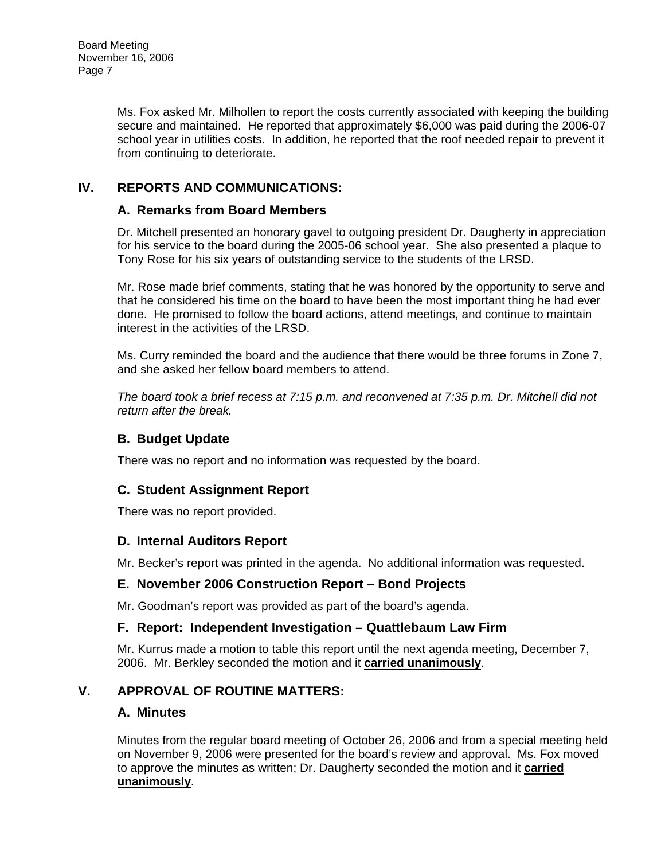Ms. Fox asked Mr. Milhollen to report the costs currently associated with keeping the building secure and maintained. He reported that approximately \$6,000 was paid during the 2006-07 school year in utilities costs. In addition, he reported that the roof needed repair to prevent it from continuing to deteriorate.

# **IV. REPORTS AND COMMUNICATIONS:**

## **A. Remarks from Board Members**

Dr. Mitchell presented an honorary gavel to outgoing president Dr. Daugherty in appreciation for his service to the board during the 2005-06 school year. She also presented a plaque to Tony Rose for his six years of outstanding service to the students of the LRSD.

Mr. Rose made brief comments, stating that he was honored by the opportunity to serve and that he considered his time on the board to have been the most important thing he had ever done. He promised to follow the board actions, attend meetings, and continue to maintain interest in the activities of the LRSD.

Ms. Curry reminded the board and the audience that there would be three forums in Zone 7, and she asked her fellow board members to attend.

*The board took a brief recess at 7:15 p.m. and reconvened at 7:35 p.m. Dr. Mitchell did not return after the break.* 

## **B. Budget Update**

There was no report and no information was requested by the board.

# **C. Student Assignment Report**

There was no report provided.

## **D. Internal Auditors Report**

Mr. Becker's report was printed in the agenda. No additional information was requested.

## **E. November 2006 Construction Report – Bond Projects**

Mr. Goodman's report was provided as part of the board's agenda.

## **F. Report: Independent Investigation – Quattlebaum Law Firm**

Mr. Kurrus made a motion to table this report until the next agenda meeting, December 7, 2006. Mr. Berkley seconded the motion and it **carried unanimously**.

## **V. APPROVAL OF ROUTINE MATTERS:**

## **A. Minutes**

Minutes from the regular board meeting of October 26, 2006 and from a special meeting held on November 9, 2006 were presented for the board's review and approval. Ms. Fox moved to approve the minutes as written; Dr. Daugherty seconded the motion and it **carried unanimously**.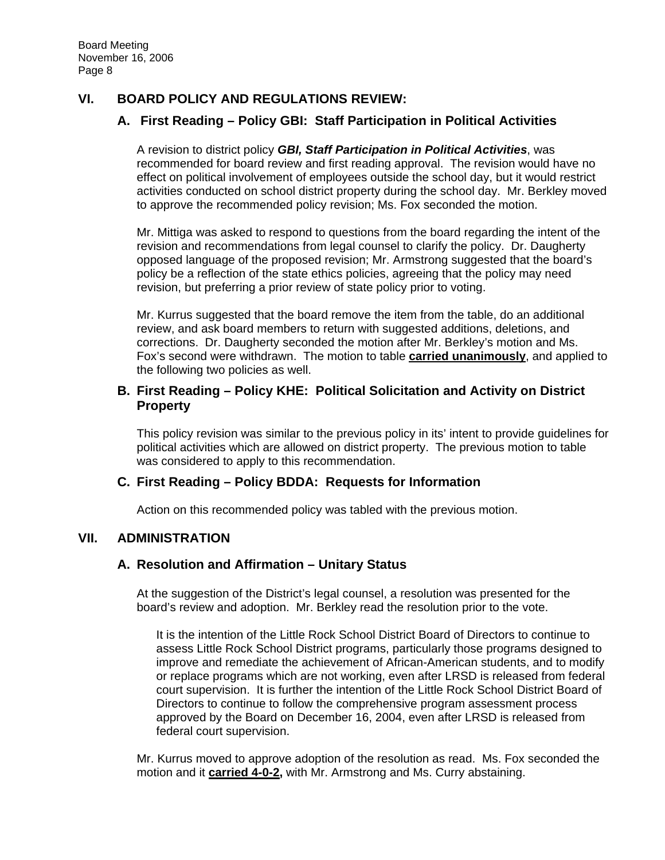## **VI. BOARD POLICY AND REGULATIONS REVIEW:**

## **A. First Reading – Policy GBI: Staff Participation in Political Activities**

A revision to district policy *GBI, Staff Participation in Political Activities*, was recommended for board review and first reading approval. The revision would have no effect on political involvement of employees outside the school day, but it would restrict activities conducted on school district property during the school day. Mr. Berkley moved to approve the recommended policy revision; Ms. Fox seconded the motion.

Mr. Mittiga was asked to respond to questions from the board regarding the intent of the revision and recommendations from legal counsel to clarify the policy. Dr. Daugherty opposed language of the proposed revision; Mr. Armstrong suggested that the board's policy be a reflection of the state ethics policies, agreeing that the policy may need revision, but preferring a prior review of state policy prior to voting.

Mr. Kurrus suggested that the board remove the item from the table, do an additional review, and ask board members to return with suggested additions, deletions, and corrections. Dr. Daugherty seconded the motion after Mr. Berkley's motion and Ms. Fox's second were withdrawn. The motion to table **carried unanimously**, and applied to the following two policies as well.

### **B. First Reading – Policy KHE: Political Solicitation and Activity on District Property**

This policy revision was similar to the previous policy in its' intent to provide guidelines for political activities which are allowed on district property. The previous motion to table was considered to apply to this recommendation.

## **C. First Reading – Policy BDDA: Requests for Information**

Action on this recommended policy was tabled with the previous motion.

## **VII. ADMINISTRATION**

### **A. Resolution and Affirmation – Unitary Status**

At the suggestion of the District's legal counsel, a resolution was presented for the board's review and adoption. Mr. Berkley read the resolution prior to the vote.

It is the intention of the Little Rock School District Board of Directors to continue to assess Little Rock School District programs, particularly those programs designed to improve and remediate the achievement of African-American students, and to modify or replace programs which are not working, even after LRSD is released from federal court supervision. It is further the intention of the Little Rock School District Board of Directors to continue to follow the comprehensive program assessment process approved by the Board on December 16, 2004, even after LRSD is released from federal court supervision.

Mr. Kurrus moved to approve adoption of the resolution as read. Ms. Fox seconded the motion and it **carried 4-0-2,** with Mr. Armstrong and Ms. Curry abstaining.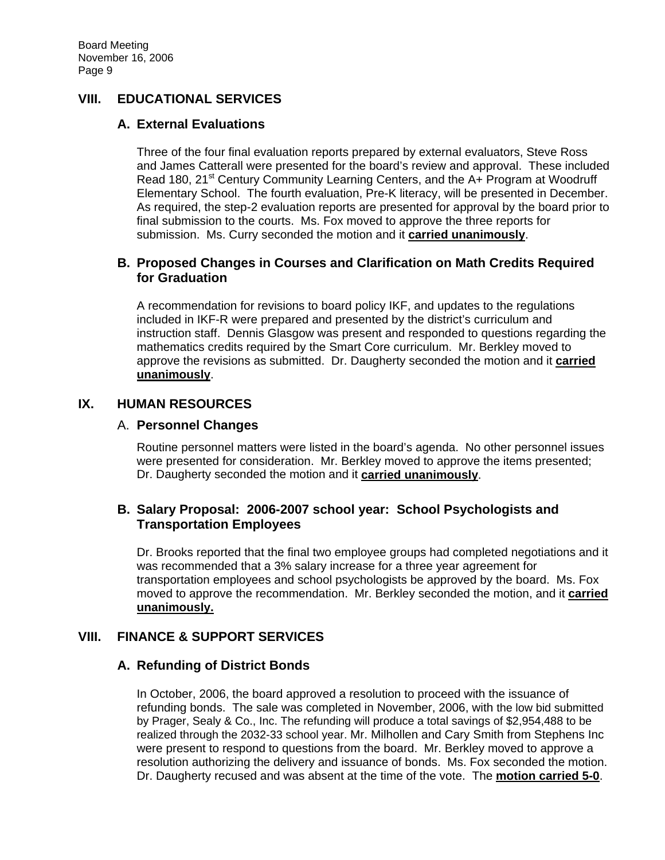## **VIII. EDUCATIONAL SERVICES**

### **A. External Evaluations**

Three of the four final evaluation reports prepared by external evaluators, Steve Ross and James Catterall were presented for the board's review and approval. These included Read 180, 21<sup>st</sup> Century Community Learning Centers, and the A+ Program at Woodruff Elementary School. The fourth evaluation, Pre-K literacy, will be presented in December. As required, the step-2 evaluation reports are presented for approval by the board prior to final submission to the courts. Ms. Fox moved to approve the three reports for submission. Ms. Curry seconded the motion and it **carried unanimously**.

## **B. Proposed Changes in Courses and Clarification on Math Credits Required for Graduation**

A recommendation for revisions to board policy IKF, and updates to the regulations included in IKF-R were prepared and presented by the district's curriculum and instruction staff. Dennis Glasgow was present and responded to questions regarding the mathematics credits required by the Smart Core curriculum. Mr. Berkley moved to approve the revisions as submitted. Dr. Daugherty seconded the motion and it **carried unanimously**.

### **IX. HUMAN RESOURCES**

### A. **Personnel Changes**

Routine personnel matters were listed in the board's agenda. No other personnel issues were presented for consideration. Mr. Berkley moved to approve the items presented; Dr. Daugherty seconded the motion and it **carried unanimously**.

## **B. Salary Proposal: 2006-2007 school year: School Psychologists and Transportation Employees**

Dr. Brooks reported that the final two employee groups had completed negotiations and it was recommended that a 3% salary increase for a three year agreement for transportation employees and school psychologists be approved by the board. Ms. Fox moved to approve the recommendation. Mr. Berkley seconded the motion, and it **carried unanimously.**

## **VIII. FINANCE & SUPPORT SERVICES**

## **A. Refunding of District Bonds**

In October, 2006, the board approved a resolution to proceed with the issuance of refunding bonds. The sale was completed in November, 2006, with the low bid submitted by Prager, Sealy & Co., Inc. The refunding will produce a total savings of \$2,954,488 to be realized through the 2032-33 school year. Mr. Milhollen and Cary Smith from Stephens Inc were present to respond to questions from the board. Mr. Berkley moved to approve a resolution authorizing the delivery and issuance of bonds. Ms. Fox seconded the motion. Dr. Daugherty recused and was absent at the time of the vote. The **motion carried 5-0**.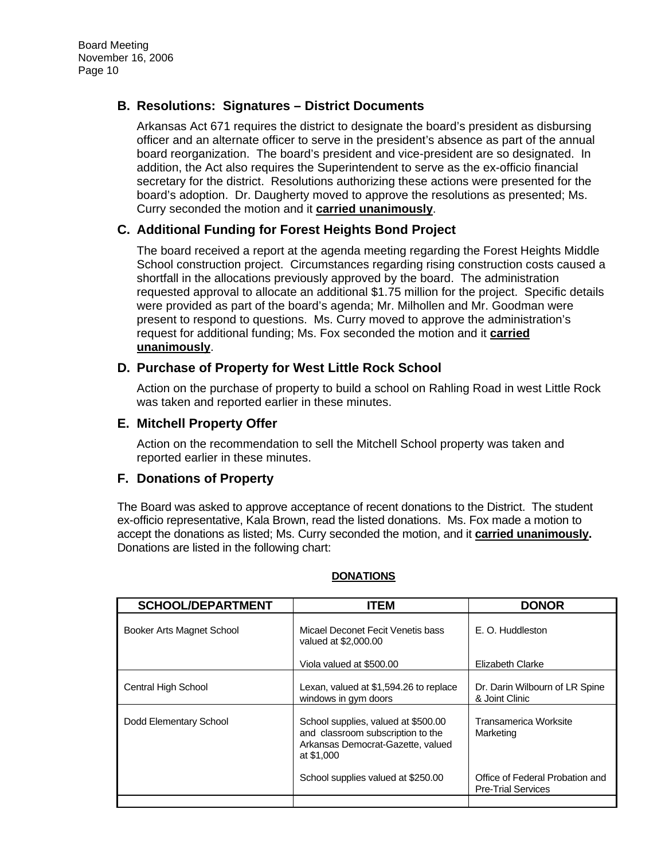## **B. Resolutions: Signatures – District Documents**

Arkansas Act 671 requires the district to designate the board's president as disbursing officer and an alternate officer to serve in the president's absence as part of the annual board reorganization. The board's president and vice-president are so designated. In addition, the Act also requires the Superintendent to serve as the ex-officio financial secretary for the district. Resolutions authorizing these actions were presented for the board's adoption. Dr. Daugherty moved to approve the resolutions as presented; Ms. Curry seconded the motion and it **carried unanimously**.

### **C. Additional Funding for Forest Heights Bond Project**

The board received a report at the agenda meeting regarding the Forest Heights Middle School construction project. Circumstances regarding rising construction costs caused a shortfall in the allocations previously approved by the board. The administration requested approval to allocate an additional \$1.75 million for the project. Specific details were provided as part of the board's agenda; Mr. Milhollen and Mr. Goodman were present to respond to questions. Ms. Curry moved to approve the administration's request for additional funding; Ms. Fox seconded the motion and it **carried unanimously**.

### **D. Purchase of Property for West Little Rock School**

Action on the purchase of property to build a school on Rahling Road in west Little Rock was taken and reported earlier in these minutes.

### **E. Mitchell Property Offer**

Action on the recommendation to sell the Mitchell School property was taken and reported earlier in these minutes.

### **F. Donations of Property**

The Board was asked to approve acceptance of recent donations to the District. The student ex-officio representative, Kala Brown, read the listed donations. Ms. Fox made a motion to accept the donations as listed; Ms. Curry seconded the motion, and it **carried unanimously.**  Donations are listed in the following chart:

| <b>SCHOOL/DEPARTMENT</b>  | <b>ITEM</b>                                                                                                                 | <b>DONOR</b>                                                 |
|---------------------------|-----------------------------------------------------------------------------------------------------------------------------|--------------------------------------------------------------|
| Booker Arts Magnet School | Micael Deconet Fecit Venetis bass<br>valued at \$2,000.00                                                                   | E. O. Huddleston                                             |
|                           | Viola valued at \$500.00                                                                                                    | Elizabeth Clarke                                             |
| Central High School       | Lexan, valued at \$1,594.26 to replace<br>windows in gym doors                                                              | Dr. Darin Wilbourn of LR Spine<br>& Joint Clinic             |
| Dodd Elementary School    | School supplies, valued at \$500.00<br>and classroom subscription to the<br>Arkansas Democrat-Gazette, valued<br>at \$1,000 | Transamerica Worksite<br>Marketing                           |
|                           | School supplies valued at \$250.00                                                                                          | Office of Federal Probation and<br><b>Pre-Trial Services</b> |
|                           |                                                                                                                             |                                                              |

### **DONATIONS**